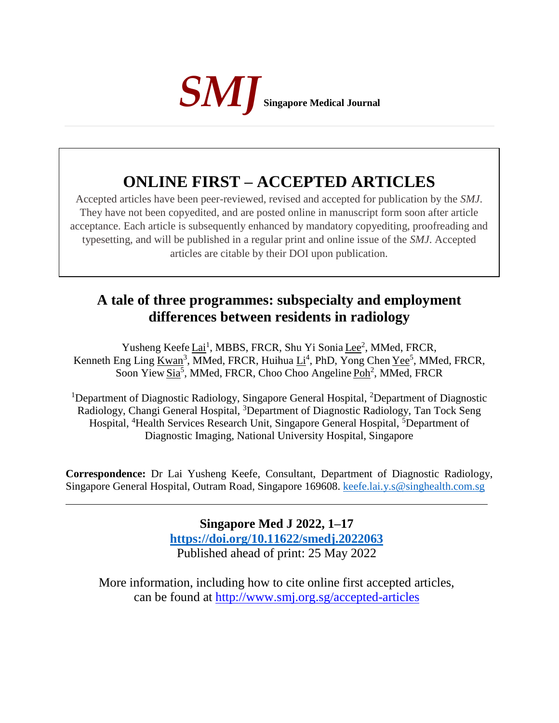

# **ONLINE FIRST – ACCEPTED ARTICLES**

Accepted articles have been peer-reviewed, revised and accepted for publication by the *SMJ*. They have not been copyedited, and are posted online in manuscript form soon after article acceptance. Each article is subsequently enhanced by mandatory copyediting, proofreading and typesetting, and will be published in a regular print and online issue of the *SMJ*. Accepted articles are citable by their DOI upon publication.

## **A tale of three programmes: subspecialty and employment differences between residents in radiology**

Yusheng Keefe Lai<sup>1</sup>, MBBS, FRCR, Shu Yi Sonia Lee<sup>2</sup>, MMed, FRCR, Kenneth Eng Ling Kwan<sup>3</sup>, MMed, FRCR, Huihua Li<sup>4</sup>, PhD, Yong Chen Yee<sup>5</sup>, MMed, FRCR, Soon Yiew Sia<sup>5</sup>, MMed, FRCR, Choo Choo Angeline Poh<sup>2</sup>, MMed, FRCR

<sup>1</sup>Department of Diagnostic Radiology, Singapore General Hospital, <sup>2</sup>Department of Diagnostic Radiology, Changi General Hospital, <sup>3</sup>Department of Diagnostic Radiology, Tan Tock Seng Hospital, <sup>4</sup>Health Services Research Unit, Singapore General Hospital, <sup>5</sup>Department of Diagnostic Imaging, National University Hospital, Singapore

**Correspondence:** Dr Lai Yusheng Keefe, Consultant, Department of Diagnostic Radiology, Singapore General Hospital, Outram Road, Singapore 169608. [keefe.lai.y.s@singhealth.com.sg](mailto:keefe.lai.y.s@singhealth.com.sg)

> **Singapore Med J 2022, 1–17 [https://doi.org/1](https://doi.org/10.11622/smedj.2018150)0.11622/smedj.2022063** Published ahead of print: 25 May 2022

More information, including how to cite online first accepted articles, can be found at http://www.smj.org.sg/accepted-articles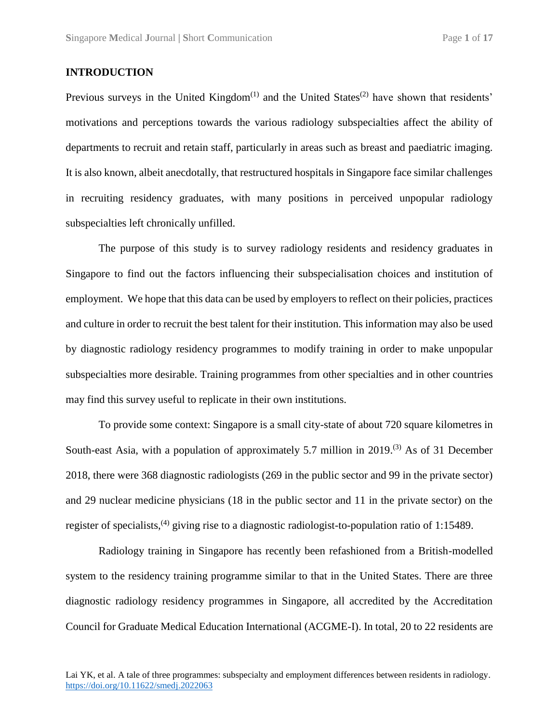### **INTRODUCTION**

Previous surveys in the United Kingdom<sup> $(1)$ </sup> and the United States<sup> $(2)$ </sup> have shown that residents' motivations and perceptions towards the various radiology subspecialties affect the ability of departments to recruit and retain staff, particularly in areas such as breast and paediatric imaging. It is also known, albeit anecdotally, that restructured hospitals in Singapore face similar challenges in recruiting residency graduates, with many positions in perceived unpopular radiology subspecialties left chronically unfilled.

The purpose of this study is to survey radiology residents and residency graduates in Singapore to find out the factors influencing their subspecialisation choices and institution of employment. We hope that this data can be used by employers to reflect on their policies, practices and culture in order to recruit the best talent for their institution. This information may also be used by diagnostic radiology residency programmes to modify training in order to make unpopular subspecialties more desirable. Training programmes from other specialties and in other countries may find this survey useful to replicate in their own institutions.

To provide some context: Singapore is a small city-state of about 720 square kilometres in South-east Asia, with a population of approximately 5.7 million in 2019.<sup>(3)</sup> As of 31 December 2018, there were 368 diagnostic radiologists (269 in the public sector and 99 in the private sector) and 29 nuclear medicine physicians (18 in the public sector and 11 in the private sector) on the register of specialists,<sup>(4)</sup> giving rise to a diagnostic radiologist-to-population ratio of 1:15489.

Radiology training in Singapore has recently been refashioned from a British-modelled system to the residency training programme similar to that in the United States. There are three diagnostic radiology residency programmes in Singapore, all accredited by the Accreditation Council for Graduate Medical Education International (ACGME-I). In total, 20 to 22 residents are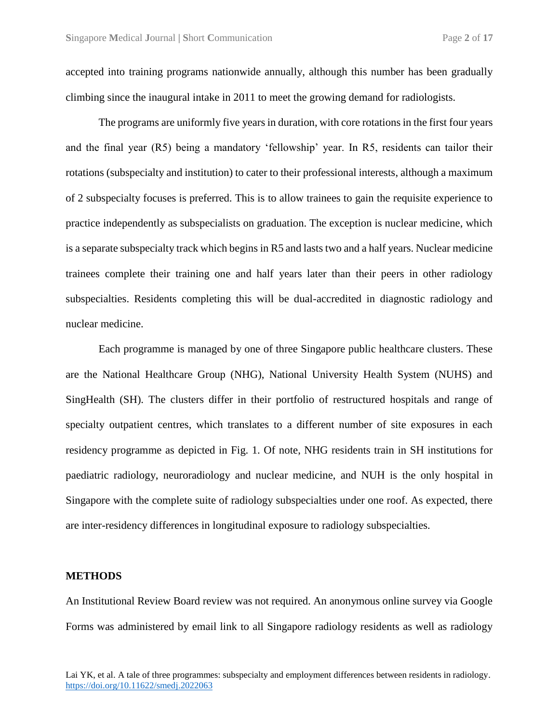accepted into training programs nationwide annually, although this number has been gradually climbing since the inaugural intake in 2011 to meet the growing demand for radiologists.

The programs are uniformly five years in duration, with core rotations in the first four years and the final year (R5) being a mandatory 'fellowship' year. In R5, residents can tailor their rotations (subspecialty and institution) to cater to their professional interests, although a maximum of 2 subspecialty focuses is preferred. This is to allow trainees to gain the requisite experience to practice independently as subspecialists on graduation. The exception is nuclear medicine, which is a separate subspecialty track which begins in R5 and lasts two and a half years. Nuclear medicine trainees complete their training one and half years later than their peers in other radiology subspecialties. Residents completing this will be dual-accredited in diagnostic radiology and nuclear medicine.

Each programme is managed by one of three Singapore public healthcare clusters. These are the National Healthcare Group (NHG), National University Health System (NUHS) and SingHealth (SH). The clusters differ in their portfolio of restructured hospitals and range of specialty outpatient centres, which translates to a different number of site exposures in each residency programme as depicted in Fig. 1. Of note, NHG residents train in SH institutions for paediatric radiology, neuroradiology and nuclear medicine, and NUH is the only hospital in Singapore with the complete suite of radiology subspecialties under one roof. As expected, there are inter-residency differences in longitudinal exposure to radiology subspecialties.

#### **METHODS**

An Institutional Review Board review was not required. An anonymous online survey via Google Forms was administered by email link to all Singapore radiology residents as well as radiology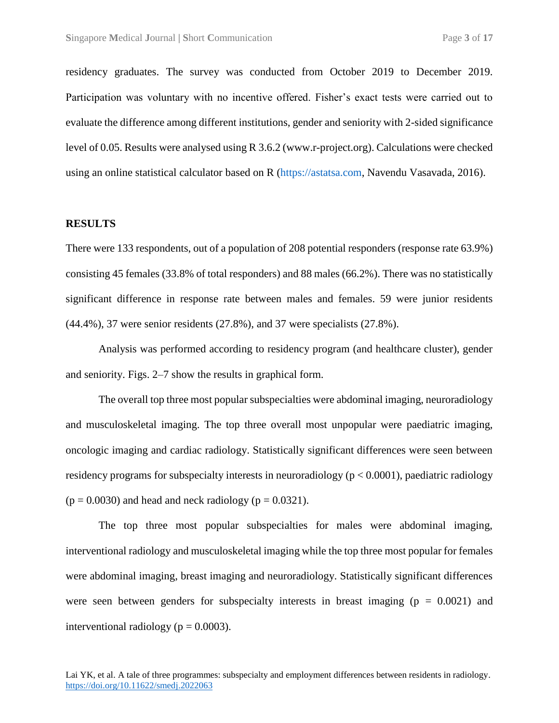residency graduates. The survey was conducted from October 2019 to December 2019. Participation was voluntary with no incentive offered. Fisher's exact tests were carried out to evaluate the difference among different institutions, gender and seniority with 2-sided significance level of 0.05. Results were analysed using R 3.6.2 (www.r-project.org). Calculations were checked using an online statistical calculator based on R [\(https://astatsa.com,](https://astatsa.com/) Navendu Vasavada, 2016).

#### **RESULTS**

There were 133 respondents, out of a population of 208 potential responders (response rate 63.9%) consisting 45 females (33.8% of total responders) and 88 males (66.2%). There was no statistically significant difference in response rate between males and females. 59 were junior residents (44.4%), 37 were senior residents (27.8%), and 37 were specialists (27.8%).

Analysis was performed according to residency program (and healthcare cluster), gender and seniority. Figs. 2–7 show the results in graphical form.

The overall top three most popular subspecialties were abdominal imaging, neuroradiology and musculoskeletal imaging. The top three overall most unpopular were paediatric imaging, oncologic imaging and cardiac radiology. Statistically significant differences were seen between residency programs for subspecialty interests in neuroradiology ( $p < 0.0001$ ), paediatric radiology  $(p = 0.0030)$  and head and neck radiology  $(p = 0.0321)$ .

The top three most popular subspecialties for males were abdominal imaging, interventional radiology and musculoskeletal imaging while the top three most popular for females were abdominal imaging, breast imaging and neuroradiology. Statistically significant differences were seen between genders for subspecialty interests in breast imaging ( $p = 0.0021$ ) and interventional radiology ( $p = 0.0003$ ).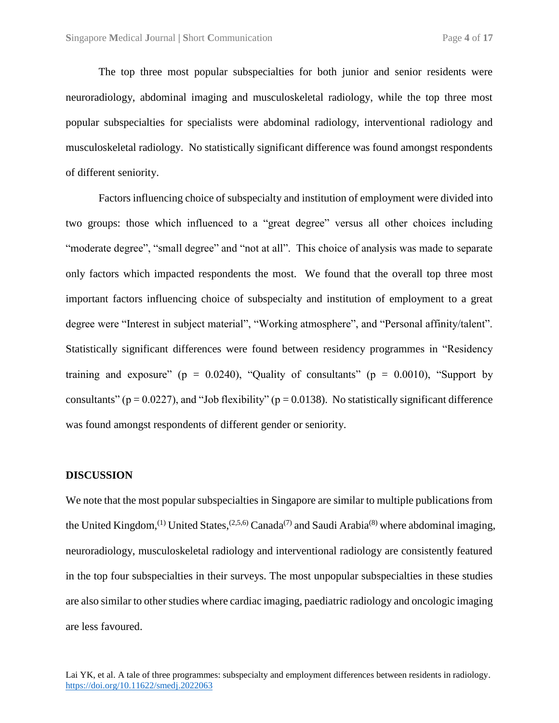The top three most popular subspecialties for both junior and senior residents were neuroradiology, abdominal imaging and musculoskeletal radiology, while the top three most popular subspecialties for specialists were abdominal radiology, interventional radiology and musculoskeletal radiology. No statistically significant difference was found amongst respondents of different seniority.

Factors influencing choice of subspecialty and institution of employment were divided into two groups: those which influenced to a "great degree" versus all other choices including "moderate degree", "small degree" and "not at all". This choice of analysis was made to separate only factors which impacted respondents the most. We found that the overall top three most important factors influencing choice of subspecialty and institution of employment to a great degree were "Interest in subject material", "Working atmosphere", and "Personal affinity/talent". Statistically significant differences were found between residency programmes in "Residency training and exposure" ( $p = 0.0240$ ), "Quality of consultants" ( $p = 0.0010$ ), "Support by consultants" ( $p = 0.0227$ ), and "Job flexibility" ( $p = 0.0138$ ). No statistically significant difference was found amongst respondents of different gender or seniority.

#### **DISCUSSION**

We note that the most popular subspecialties in Singapore are similar to multiple publications from the United Kingdom,<sup>(1)</sup> United States,<sup>(2,5,6)</sup> Canada<sup>(7)</sup> and Saudi Arabia<sup>(8)</sup> where abdominal imaging, neuroradiology, musculoskeletal radiology and interventional radiology are consistently featured in the top four subspecialties in their surveys. The most unpopular subspecialties in these studies are also similar to other studies where cardiac imaging, paediatric radiology and oncologic imaging are less favoured.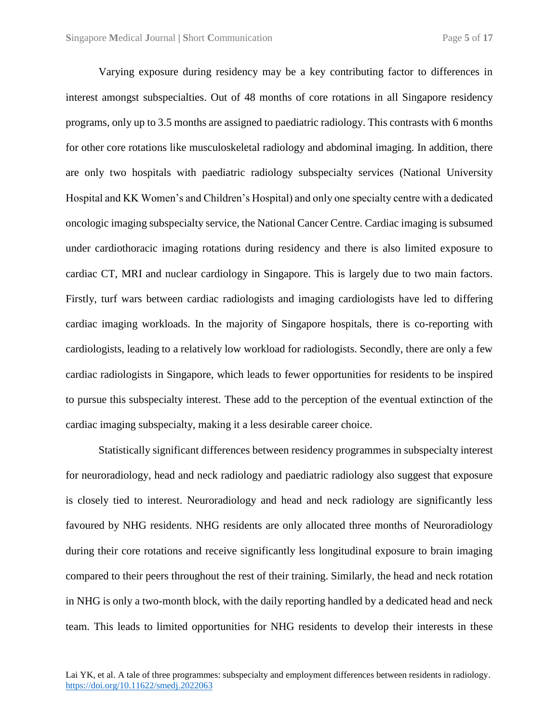Varying exposure during residency may be a key contributing factor to differences in interest amongst subspecialties. Out of 48 months of core rotations in all Singapore residency programs, only up to 3.5 months are assigned to paediatric radiology. This contrasts with 6 months for other core rotations like musculoskeletal radiology and abdominal imaging. In addition, there are only two hospitals with paediatric radiology subspecialty services (National University Hospital and KK Women's and Children's Hospital) and only one specialty centre with a dedicated oncologic imaging subspecialty service, the National Cancer Centre. Cardiac imaging is subsumed under cardiothoracic imaging rotations during residency and there is also limited exposure to cardiac CT, MRI and nuclear cardiology in Singapore. This is largely due to two main factors. Firstly, turf wars between cardiac radiologists and imaging cardiologists have led to differing cardiac imaging workloads. In the majority of Singapore hospitals, there is co-reporting with cardiologists, leading to a relatively low workload for radiologists. Secondly, there are only a few cardiac radiologists in Singapore, which leads to fewer opportunities for residents to be inspired to pursue this subspecialty interest. These add to the perception of the eventual extinction of the cardiac imaging subspecialty, making it a less desirable career choice.

Statistically significant differences between residency programmes in subspecialty interest for neuroradiology, head and neck radiology and paediatric radiology also suggest that exposure is closely tied to interest. Neuroradiology and head and neck radiology are significantly less favoured by NHG residents. NHG residents are only allocated three months of Neuroradiology during their core rotations and receive significantly less longitudinal exposure to brain imaging compared to their peers throughout the rest of their training. Similarly, the head and neck rotation in NHG is only a two-month block, with the daily reporting handled by a dedicated head and neck team. This leads to limited opportunities for NHG residents to develop their interests in these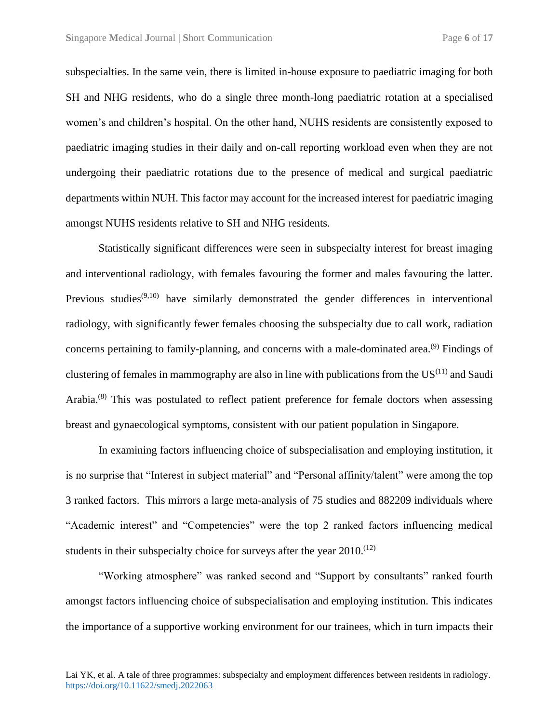subspecialties. In the same vein, there is limited in-house exposure to paediatric imaging for both SH and NHG residents, who do a single three month-long paediatric rotation at a specialised women's and children's hospital. On the other hand, NUHS residents are consistently exposed to paediatric imaging studies in their daily and on-call reporting workload even when they are not undergoing their paediatric rotations due to the presence of medical and surgical paediatric departments within NUH. This factor may account for the increased interest for paediatric imaging amongst NUHS residents relative to SH and NHG residents.

Statistically significant differences were seen in subspecialty interest for breast imaging and interventional radiology, with females favouring the former and males favouring the latter. Previous studies<sup> $(9,10)$ </sup> have similarly demonstrated the gender differences in interventional radiology, with significantly fewer females choosing the subspecialty due to call work, radiation concerns pertaining to family-planning, and concerns with a male-dominated area.<sup>(9)</sup> Findings of clustering of females in mammography are also in line with publications from the  $US^{(11)}$  and Saudi Arabia.<sup>(8)</sup> This was postulated to reflect patient preference for female doctors when assessing breast and gynaecological symptoms, consistent with our patient population in Singapore.

In examining factors influencing choice of subspecialisation and employing institution, it is no surprise that "Interest in subject material" and "Personal affinity/talent" were among the top 3 ranked factors. This mirrors a large meta-analysis of 75 studies and 882209 individuals where "Academic interest" and "Competencies" were the top 2 ranked factors influencing medical students in their subspecialty choice for surveys after the year  $2010$ .<sup>(12)</sup>

"Working atmosphere" was ranked second and "Support by consultants" ranked fourth amongst factors influencing choice of subspecialisation and employing institution. This indicates the importance of a supportive working environment for our trainees, which in turn impacts their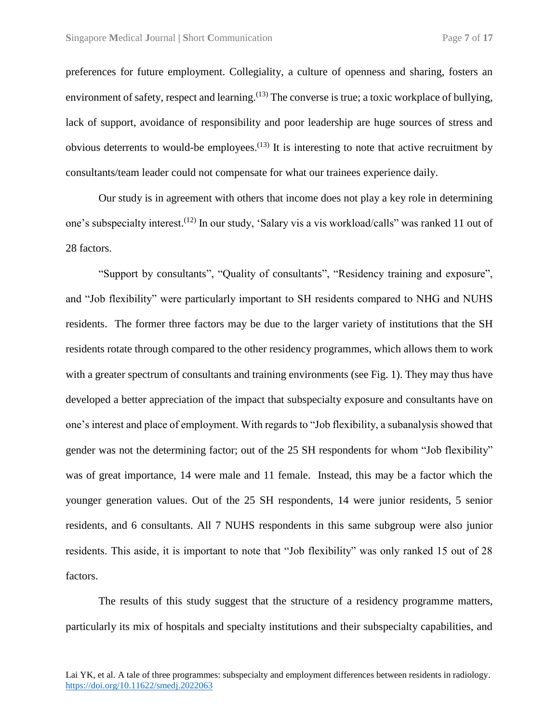preferences for future employment. Collegiality, a culture of openness and sharing, fosters an environment of safety, respect and learning.<sup>(13)</sup> The converse is true; a toxic workplace of bullying, lack of support, avoidance of responsibility and poor leadership are huge sources of stress and obvious deterrents to would-be employees.<sup> $(13)$ </sup> It is interesting to note that active recruitment by consultants/team leader could not compensate for what our trainees experience daily.

Our study is in agreement with others that income does not play a key role in determining one's subspecialty interest.<sup>(12)</sup> In our study, 'Salary vis a vis workload/calls'' was ranked 11 out of 28 factors.

"Support by consultants", "Quality of consultants", "Residency training and exposure", and "Job flexibility" were particularly important to SH residents compared to NHG and NUHS residents. The former three factors may be due to the larger variety of institutions that the SH residents rotate through compared to the other residency programmes, which allows them to work with a greater spectrum of consultants and training environments (see Fig. 1). They may thus have developed a better appreciation of the impact that subspecialty exposure and consultants have on one's interest and place of employment. With regards to "Job flexibility, a subanalysis showed that gender was not the determining factor; out of the 25 SH respondents for whom "Job flexibility" was of great importance, 14 were male and 11 female. Instead, this may be a factor which the younger generation values. Out of the 25 SH respondents, 14 were junior residents, 5 senior residents, and 6 consultants. All 7 NUHS respondents in this same subgroup were also junior residents. This aside, it is important to note that "Job flexibility" was only ranked 15 out of 28 factors.

The results of this study suggest that the structure of a residency programme matters, particularly its mix of hospitals and specialty institutions and their subspecialty capabilities, and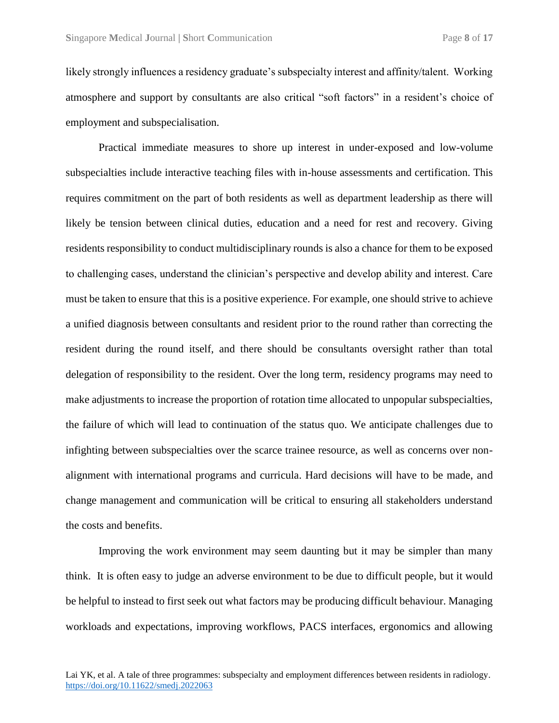likely strongly influences a residency graduate's subspecialty interest and affinity/talent. Working atmosphere and support by consultants are also critical "soft factors" in a resident's choice of employment and subspecialisation.

Practical immediate measures to shore up interest in under-exposed and low-volume subspecialties include interactive teaching files with in-house assessments and certification. This requires commitment on the part of both residents as well as department leadership as there will likely be tension between clinical duties, education and a need for rest and recovery. Giving residents responsibility to conduct multidisciplinary rounds is also a chance for them to be exposed to challenging cases, understand the clinician's perspective and develop ability and interest. Care must be taken to ensure that this is a positive experience. For example, one should strive to achieve a unified diagnosis between consultants and resident prior to the round rather than correcting the resident during the round itself, and there should be consultants oversight rather than total delegation of responsibility to the resident. Over the long term, residency programs may need to make adjustments to increase the proportion of rotation time allocated to unpopular subspecialties, the failure of which will lead to continuation of the status quo. We anticipate challenges due to infighting between subspecialties over the scarce trainee resource, as well as concerns over nonalignment with international programs and curricula. Hard decisions will have to be made, and change management and communication will be critical to ensuring all stakeholders understand the costs and benefits.

Improving the work environment may seem daunting but it may be simpler than many think. It is often easy to judge an adverse environment to be due to difficult people, but it would be helpful to instead to first seek out what factors may be producing difficult behaviour. Managing workloads and expectations, improving workflows, PACS interfaces, ergonomics and allowing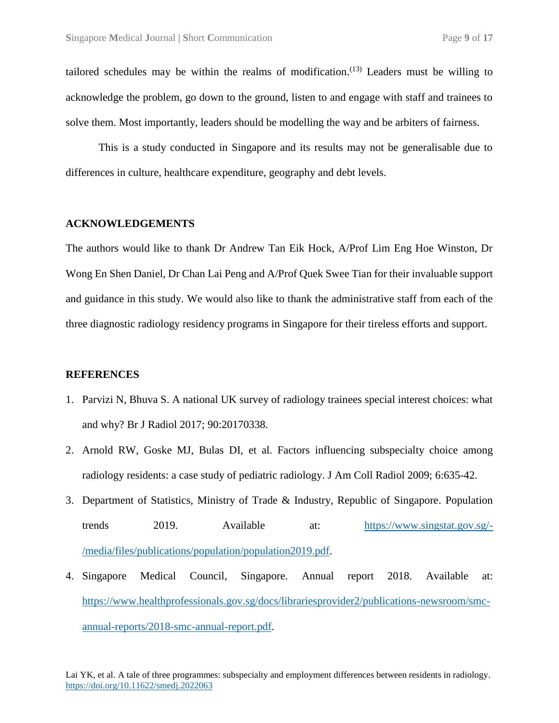tailored schedules may be within the realms of modification.<sup> $(13)$ </sup> Leaders must be willing to acknowledge the problem, go down to the ground, listen to and engage with staff and trainees to solve them. Most importantly, leaders should be modelling the way and be arbiters of fairness.

This is a study conducted in Singapore and its results may not be generalisable due to differences in culture, healthcare expenditure, geography and debt levels.

#### **ACKNOWLEDGEMENTS**

The authors would like to thank Dr Andrew Tan Eik Hock, A/Prof Lim Eng Hoe Winston, Dr Wong En Shen Daniel, Dr Chan Lai Peng and A/Prof Quek Swee Tian for their invaluable support and guidance in this study. We would also like to thank the administrative staff from each of the three diagnostic radiology residency programs in Singapore for their tireless efforts and support.

#### **REFERENCES**

- 1. Parvizi N, Bhuva S. A national UK survey of radiology trainees special interest choices: what and why? Br J Radiol 2017; 90:20170338.
- 2. Arnold RW, Goske MJ, Bulas DI, et al. Factors influencing subspecialty choice among radiology residents: a case study of pediatric radiology. J Am Coll Radiol 2009; 6:635-42.
- 3. Department of Statistics, Ministry of Trade & Industry, Republic of Singapore. Population trends 2019. Available at: [https://www.singstat.gov.sg/-](https://www.singstat.gov.sg/-/media/files/publications/population/population2019.pdf) [/media/files/publications/population/population2019.pdf.](https://www.singstat.gov.sg/-/media/files/publications/population/population2019.pdf)
- 4. Singapore Medical Council, Singapore. Annual report 2018. Available at: [https://www.healthprofessionals.gov.sg/docs/librariesprovider2/publications-newsroom/smc](https://www.healthprofessionals.gov.sg/docs/librariesprovider2/publications-newsroom/smc-annual-reports/2018-smc-annual-report.pdf)[annual-reports/2018-smc-annual-report.pdf.](https://www.healthprofessionals.gov.sg/docs/librariesprovider2/publications-newsroom/smc-annual-reports/2018-smc-annual-report.pdf)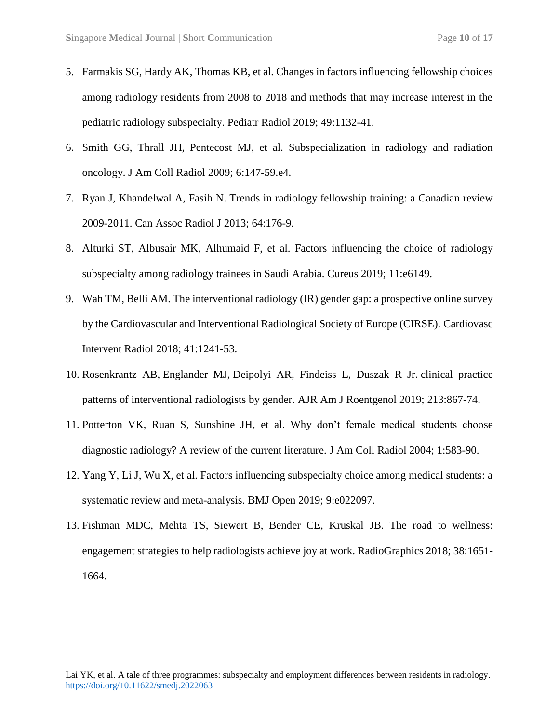- 5. Farmakis SG, Hardy AK, Thomas KB, et al. Changes in factors influencing fellowship choices among radiology residents from 2008 to 2018 and methods that may increase interest in the pediatric radiology subspecialty. Pediatr Radiol 2019; 49:1132-41.
- 6. Smith GG, Thrall JH, Pentecost MJ, et al. Subspecialization in radiology and radiation oncology. J Am Coll Radiol 2009; 6:147-59.e4.
- 7. Ryan J, Khandelwal A, Fasih N. Trends in radiology fellowship training: a Canadian review 2009-2011. Can Assoc Radiol J 2013; 64:176-9.
- 8. Alturki ST, Albusair MK, Alhumaid F, et al. Factors influencing the choice of radiology subspecialty among radiology trainees in Saudi Arabia. Cureus 2019; 11:e6149.
- 9. Wah TM, Belli AM. The interventional radiology (IR) gender gap: a prospective online survey by the Cardiovascular and Interventional Radiological Society of Europe (CIRSE). Cardiovasc Intervent Radiol 2018; 41:1241-53.
- 10. [Rosenkrantz](https://www.ajronline.org/author/Rosenkrantz%2C+Andrew+B) AB, [Englander](https://www.ajronline.org/author/Englander%2C+Meridith+J) MJ, [Deipolyi](https://www.ajronline.org/author/Deipolyi%2C+Amy+R) AR, Findeiss L, Duszak R Jr. [clinical practice](https://www.ajronline.org/doi/abs/10.2214/AJR.19.21321)  [patterns of interventional radiologists by gender.](https://www.ajronline.org/doi/abs/10.2214/AJR.19.21321) AJR Am J Roentgenol 2019; 213:867-74.
- 11. Potterton VK, Ruan S, Sunshine JH, et al. Why don't female medical students choose diagnostic radiology? A review of the current literature. J Am Coll Radiol 2004; 1:583-90.
- 12. Yang Y, Li J, Wu X, et al. Factors influencing subspecialty choice among medical students: a systematic review and meta-analysis. BMJ Open 2019; 9:e022097.
- 13. Fishman MDC, Mehta TS, Siewert B, Bender CE, Kruskal JB. The road to wellness: engagement strategies to help radiologists achieve joy at work. RadioGraphics 2018; 38:1651- 1664.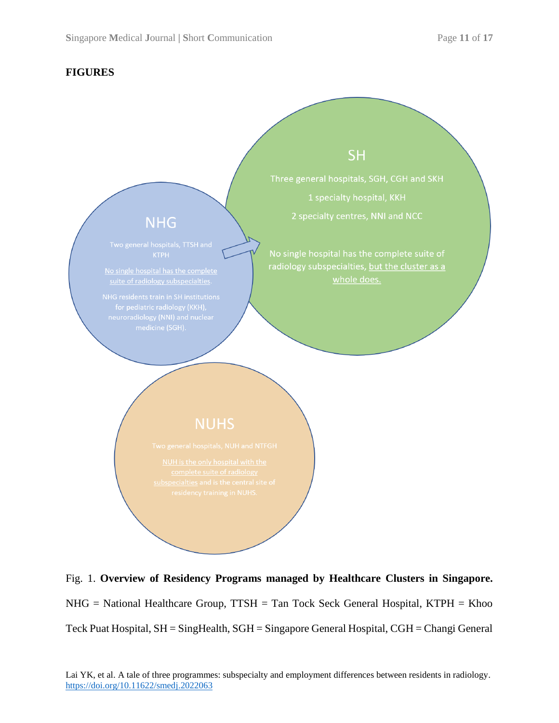## **FIGURES**



Fig. 1. **Overview of Residency Programs managed by Healthcare Clusters in Singapore.** NHG = National Healthcare Group, TTSH = Tan Tock Seck General Hospital, KTPH = Khoo Teck Puat Hospital, SH = SingHealth, SGH = Singapore General Hospital, CGH = Changi General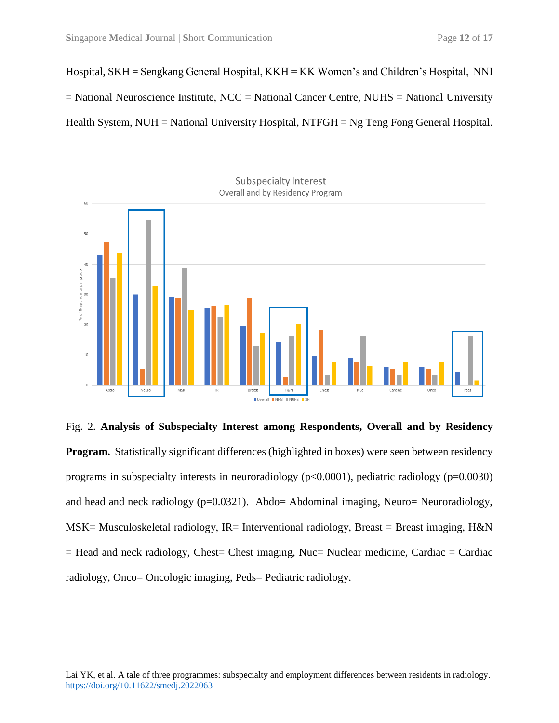Hospital, SKH = Sengkang General Hospital, KKH = KK Women's and Children's Hospital, NNI = National Neuroscience Institute, NCC = National Cancer Centre, NUHS = National University Health System,  $NUH = National University Hospital$ ,  $NTFGH = Ng$  Teng Fong General Hospital.



Fig. 2. **Analysis of Subspecialty Interest among Respondents, Overall and by Residency Program.** Statistically significant differences (highlighted in boxes) were seen between residency programs in subspecialty interests in neuroradiology (p<0.0001), pediatric radiology (p=0.0030) and head and neck radiology (p=0.0321). Abdo= Abdominal imaging, Neuro= Neuroradiology, MSK= Musculoskeletal radiology, IR= Interventional radiology, Breast = Breast imaging, H&N  $=$  Head and neck radiology, Chest= Chest imaging, Nuc= Nuclear medicine, Cardiac = Cardiac radiology, Onco= Oncologic imaging, Peds= Pediatric radiology.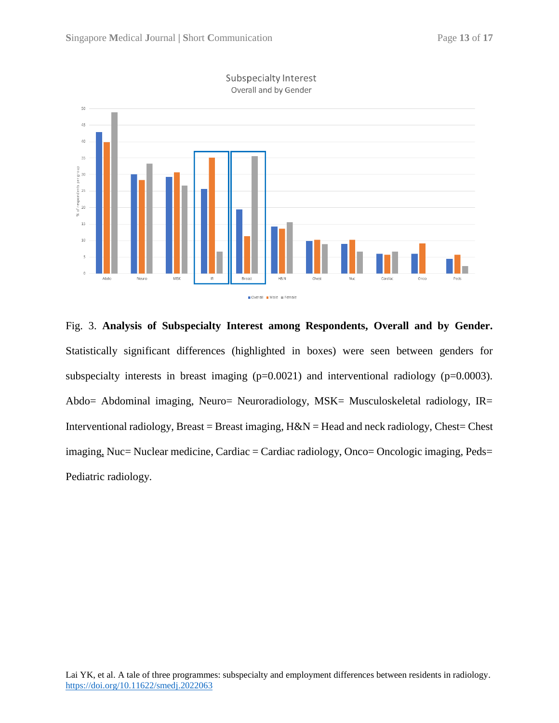



Fig. 3. **Analysis of Subspecialty Interest among Respondents, Overall and by Gender.** Statistically significant differences (highlighted in boxes) were seen between genders for subspecialty interests in breast imaging (p=0.0021) and interventional radiology (p=0.0003). Abdo= Abdominal imaging, Neuro= Neuroradiology, MSK= Musculoskeletal radiology, IR= Interventional radiology, Breast = Breast imaging,  $H\&N$  = Head and neck radiology, Chest= Chest imaging, Nuc= Nuclear medicine, Cardiac = Cardiac radiology, Onco= Oncologic imaging, Peds= Pediatric radiology.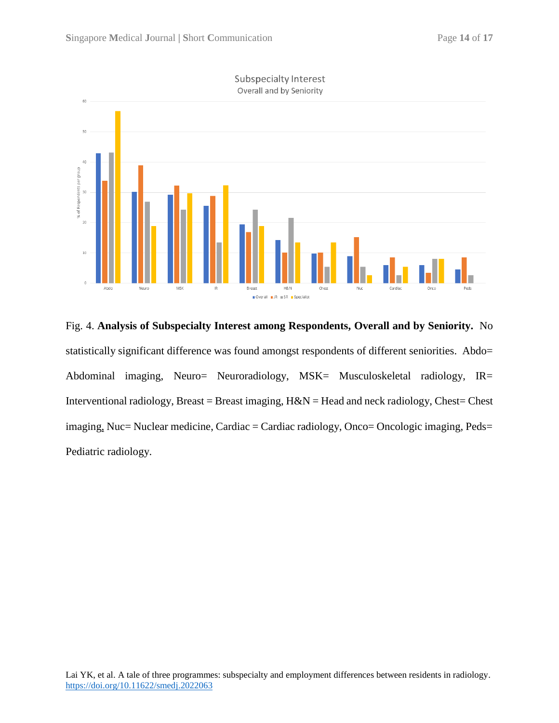

Subspecialty Interest

Fig. 4. **Analysis of Subspecialty Interest among Respondents, Overall and by Seniority.** No statistically significant difference was found amongst respondents of different seniorities. Abdo= Abdominal imaging, Neuro= Neuroradiology, MSK= Musculoskeletal radiology, IR= Interventional radiology, Breast = Breast imaging,  $H\&N$  = Head and neck radiology, Chest= Chest imaging, Nuc= Nuclear medicine, Cardiac = Cardiac radiology, Onco= Oncologic imaging, Peds= Pediatric radiology.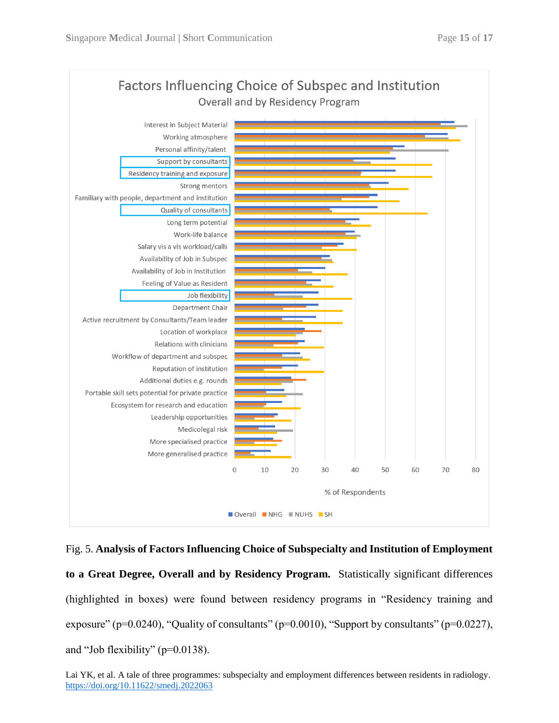

Fig. 5. **Analysis of Factors Influencing Choice of Subspecialty and Institution of Employment to a Great Degree, Overall and by Residency Program.** Statistically significant differences (highlighted in boxes) were found between residency programs in "Residency training and exposure" ( $p=0.0240$ ), "Quality of consultants" ( $p=0.0010$ ), "Support by consultants" ( $p=0.0227$ ), and "Job flexibility" (p=0.0138).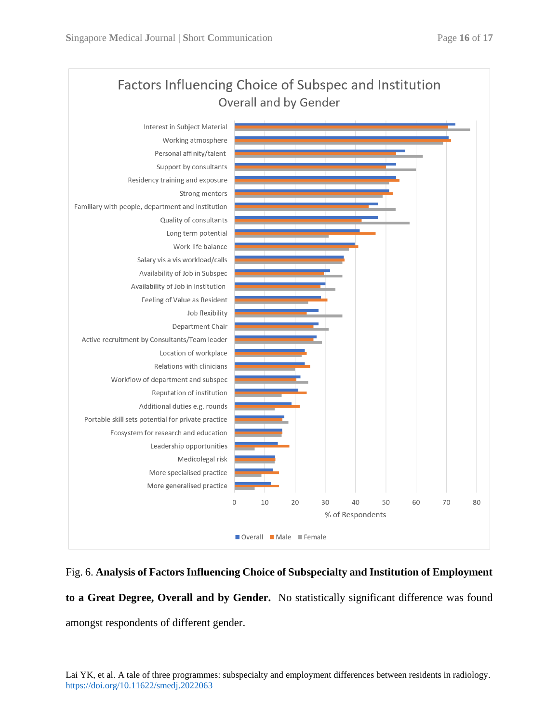

## Fig. 6. **Analysis of Factors Influencing Choice of Subspecialty and Institution of Employment**

**to a Great Degree, Overall and by Gender.** No statistically significant difference was found amongst respondents of different gender.